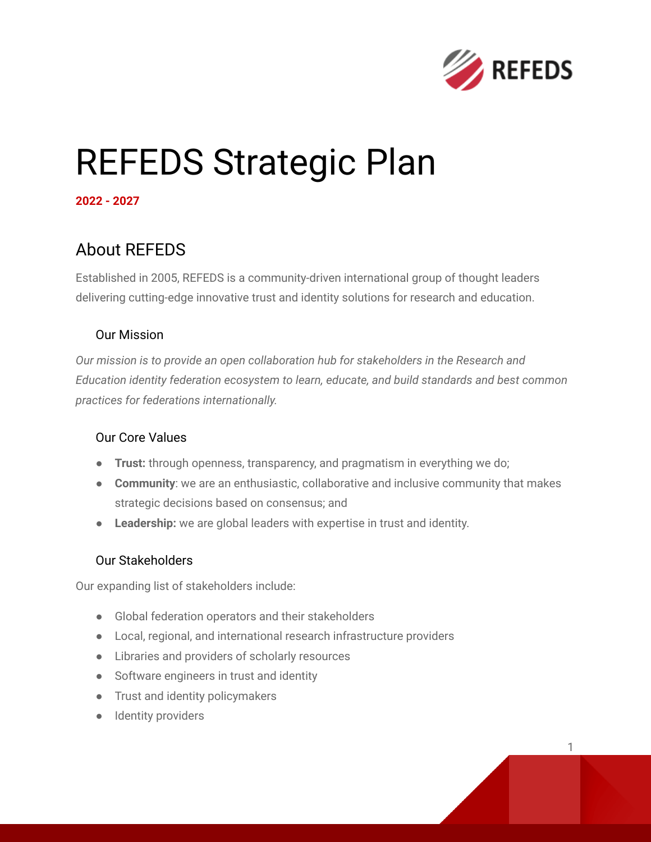

# REFEDS Strategic Plan

**2022 - 2027**

## About REFEDS

Established in 2005, REFEDS is a community-driven international group of thought leaders delivering cutting-edge innovative trust and identity solutions for research and education.

### Our Mission

*Our mission is to provide an open collaboration hub for stakeholders in the Research and Education identity federation ecosystem to learn, educate, and build standards and best common practices for federations internationally.*

#### Our Core Values

- **Trust:** through openness, transparency, and pragmatism in everything we do;
- **Community**: we are an enthusiastic, collaborative and inclusive community that makes strategic decisions based on consensus; and
- **Leadership:** we are global leaders with expertise in trust and identity.

#### Our Stakeholders

Our expanding list of stakeholders include:

- Global federation operators and their stakeholders
- Local, regional, and international research infrastructure providers
- Libraries and providers of scholarly resources
- Software engineers in trust and identity
- Trust and identity policymakers
- Identity providers

1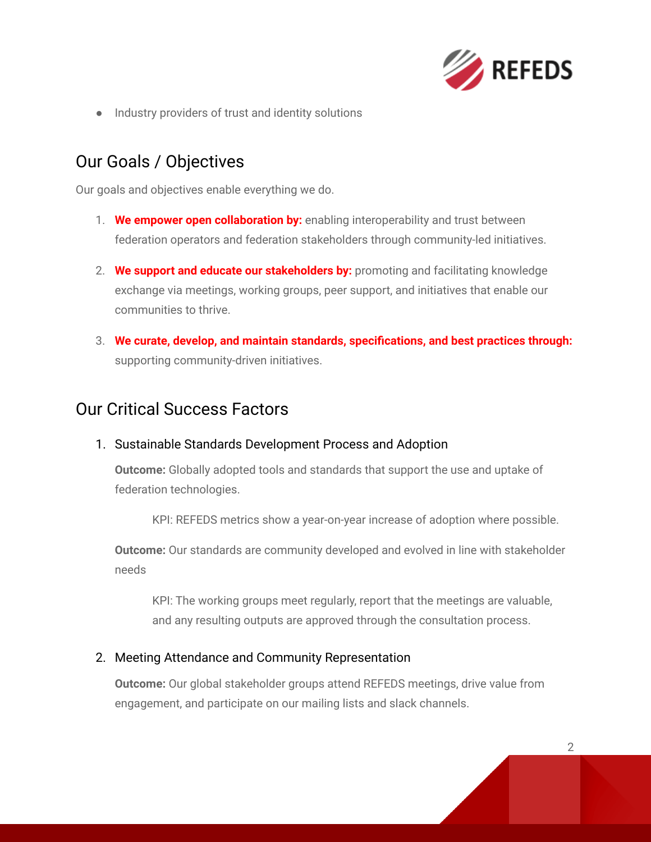

● Industry providers of trust and identity solutions

## Our Goals / Objectives

Our goals and objectives enable everything we do.

- 1. **We empower open collaboration by:** enabling interoperability and trust between federation operators and federation stakeholders through community-led initiatives.
- 2. **We support and educate our stakeholders by:** promoting and facilitating knowledge exchange via meetings, working groups, peer support, and initiatives that enable our communities to thrive.
- 3. **We curate, develop, and maintain standards, specifications, and best practices through:** supporting community-driven initiatives.

## Our Critical Success Factors

1. Sustainable Standards Development Process and Adoption

**Outcome:** Globally adopted tools and standards that support the use and uptake of federation technologies.

KPI: REFEDS metrics show a year-on-year increase of adoption where possible.

**Outcome:** Our standards are community developed and evolved in line with stakeholder needs

KPI: The working groups meet regularly, report that the meetings are valuable, and any resulting outputs are approved through the consultation process.

#### 2. Meeting Attendance and Community Representation

**Outcome:** Our global stakeholder groups attend REFEDS meetings, drive value from engagement, and participate on our mailing lists and slack channels.